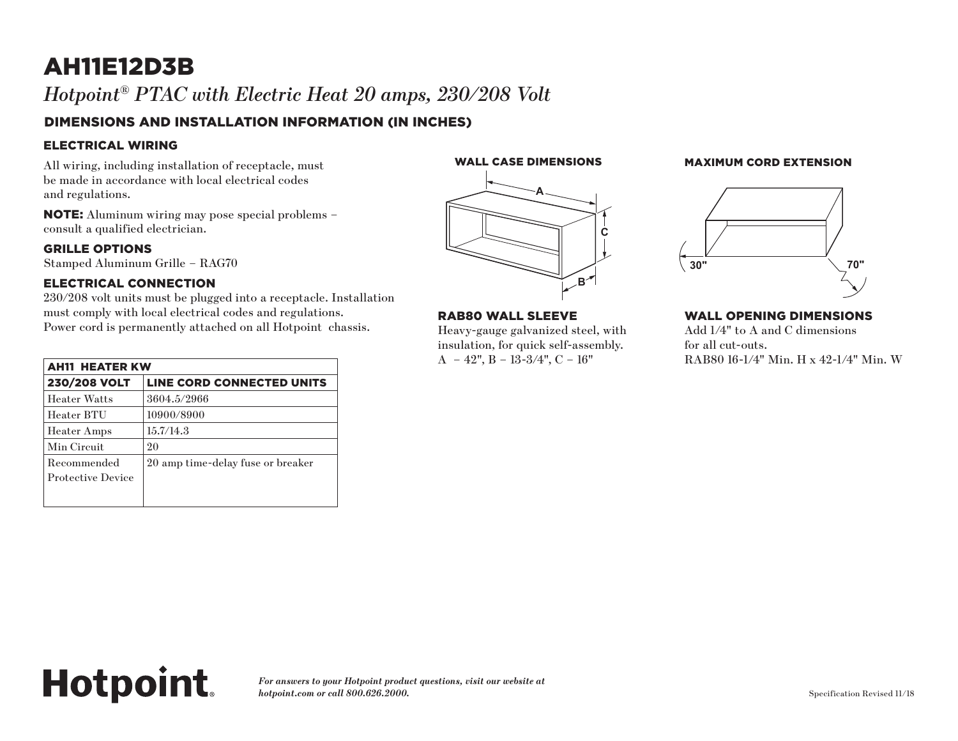# AH11E12D3B *Hotpoint® PTAC with Electric Heat 20 amps, 230/208 Volt*

# DIMENSIONS AND INSTALLATION INFORMATION (IN INCHES)

## ELECTRICAL WIRING

All wiring, including installation of receptacle, must be made in accordance with local electrical codes and regulations.

NOTE: Aluminum wiring may pose special problems – consult a qualified electrician.

#### GRILLE OPTIONS

Stamped Aluminum Grille – RAG70

## ELECTRICAL CONNECTION

**Hotpoint.** 

230/208 volt units must be plugged into a receptacle. Installation must comply with local electrical codes and regulations. Power cord is permanently attached on all Hotpoint chassis.

| <b>AH11 HEATER KW</b>                   |                                   |
|-----------------------------------------|-----------------------------------|
| <b>230/208 VOLT</b>                     | LINE CORD CONNECTED UNITS         |
| <b>Heater Watts</b>                     | 3604.5/2966                       |
| Heater BTU                              | 10900/8900                        |
| <b>Heater Amps</b>                      | 15.7/14.3                         |
| Min Circuit                             | 20                                |
| Recommended<br><b>Protective Device</b> | 20 amp time-delay fuse or breaker |
|                                         |                                   |



**A**

**C**

**B**

uick self-assembly.

**Wall Opening Dimensions**

RAB80 WALL SLEEVE

 $A - 42$ ",  $B - 13-3/4$ ",  $C - 16$ "

Heavy-gauge galvanized steel, with **RAB80 Wall Sleeve RAB80 Wall Sleeve**

# WALL CASE DIMENSIONS MAXIMUM CORD EXTENSION (in inches) (in inches)



#### WALL OPENING DIMENSIONS

**EXECUTE:** FOR THE FOR THE INSURANCE STEEL, SNAP TO THE INSURANCE STEEL, SNAP TO THE INSURANCE IS IN THE ORDER.  $i$ zed steel, with  $\qquad \qquad \text{Add } 1/4" \text{ to } A \text{ and } C \text{ dimensions}$ for all cut-outs. RAB80 16-1/4" Min. H x 42-1/4" Min. W